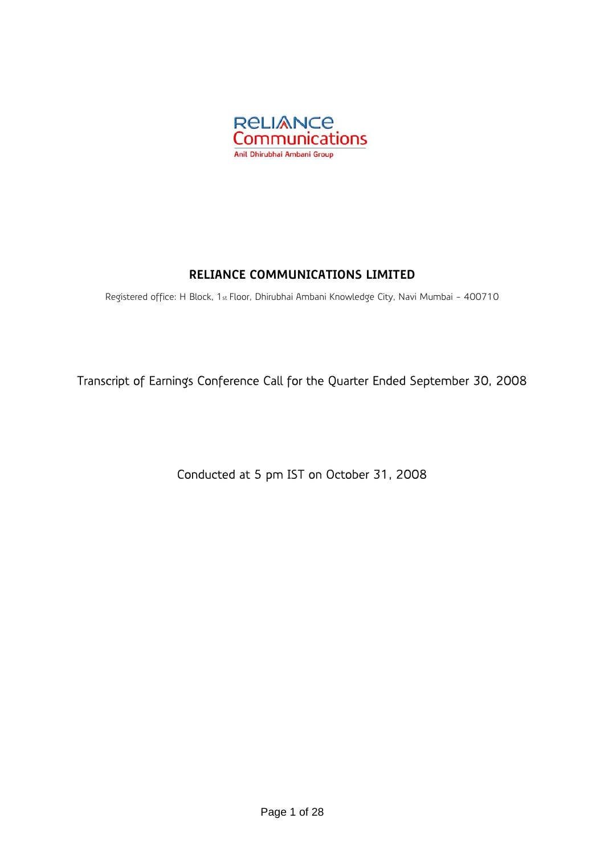

# **RELIANCE COMMUNICATIONS LIMITED**

Registered office: H Block, 1st Floor, Dhirubhai Ambani Knowledge City, Navi Mumbai - 400710

Transcript of Earnings Conference Call for the Quarter Ended September 30, 2008

Conducted at 5 pm IST on October 31, 2008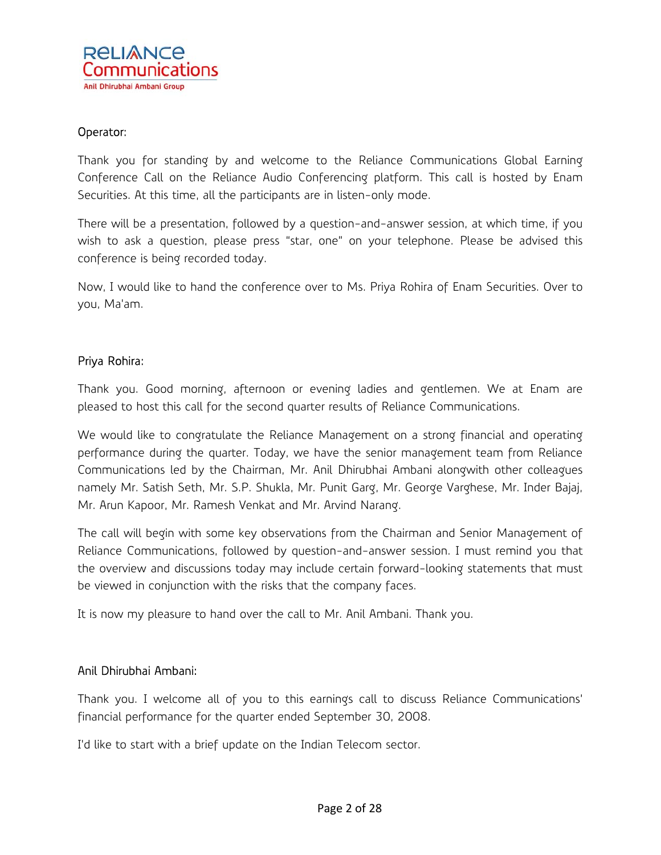#### Operator:

Thank you for standing by and welcome to the Reliance Communications Global Earning Conference Call on the Reliance Audio Conferencing platform. This call is hosted by Enam Securities. At this time, all the participants are in listen-only mode.

There will be a presentation, followed by a question-and-answer session, at which time, if you wish to ask a question, please press "star, one" on your telephone. Please be advised this conference is being recorded today.

Now, I would like to hand the conference over to Ms. Priya Rohira of Enam Securities. Over to you, Ma'am.

#### Priya Rohira:

Thank you. Good morning, afternoon or evening ladies and gentlemen. We at Enam are pleased to host this call for the second quarter results of Reliance Communications.

We would like to congratulate the Reliance Management on a strong financial and operating performance during the quarter. Today, we have the senior management team from Reliance Communications led by the Chairman, Mr. Anil Dhirubhai Ambani alongwith other colleagues namely Mr. Satish Seth, Mr. S.P. Shukla, Mr. Punit Garg, Mr. George Varghese, Mr. Inder Bajaj, Mr. Arun Kapoor, Mr. Ramesh Venkat and Mr. Arvind Narang.

The call will begin with some key observations from the Chairman and Senior Management of Reliance Communications, followed by question-and-answer session. I must remind you that the overview and discussions today may include certain forward-looking statements that must be viewed in conjunction with the risks that the company faces.

It is now my pleasure to hand over the call to Mr. Anil Ambani. Thank you.

#### Anil Dhirubhai Ambani:

Thank you. I welcome all of you to this earnings call to discuss Reliance Communications' financial performance for the quarter ended September 30, 2008.

I'd like to start with a brief update on the Indian Telecom sector.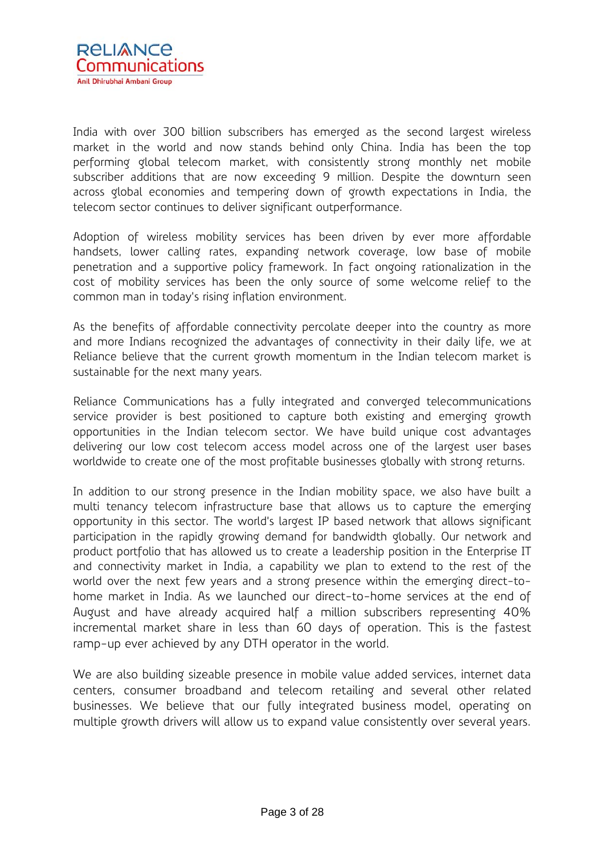

India with over 300 billion subscribers has emerged as the second largest wireless market in the world and now stands behind only China. India has been the top performing global telecom market, with consistently strong monthly net mobile subscriber additions that are now exceeding 9 million. Despite the downturn seen across global economies and tempering down of growth expectations in India, the telecom sector continues to deliver significant outperformance.

Adoption of wireless mobility services has been driven by ever more affordable handsets, lower calling rates, expanding network coverage, low base of mobile penetration and a supportive policy framework. In fact ongoing rationalization in the cost of mobility services has been the only source of some welcome relief to the common man in today's rising inflation environment.

As the benefits of affordable connectivity percolate deeper into the country as more and more Indians recognized the advantages of connectivity in their daily life, we at Reliance believe that the current growth momentum in the Indian telecom market is sustainable for the next many years.

Reliance Communications has a fully integrated and converged telecommunications service provider is best positioned to capture both existing and emerging growth opportunities in the Indian telecom sector. We have build unique cost advantages delivering our low cost telecom access model across one of the largest user bases worldwide to create one of the most profitable businesses globally with strong returns.

In addition to our strong presence in the Indian mobility space, we also have built a multi tenancy telecom infrastructure base that allows us to capture the emerging opportunity in this sector. The world's largest IP based network that allows significant participation in the rapidly growing demand for bandwidth globally. Our network and product portfolio that has allowed us to create a leadership position in the Enterprise IT and connectivity market in India, a capability we plan to extend to the rest of the world over the next few years and a strong presence within the emerging direct-tohome market in India. As we launched our direct-to-home services at the end of August and have already acquired half a million subscribers representing 40% incremental market share in less than 60 days of operation. This is the fastest ramp-up ever achieved by any DTH operator in the world.

We are also building sizeable presence in mobile value added services, internet data centers, consumer broadband and telecom retailing and several other related businesses. We believe that our fully integrated business model, operating on multiple growth drivers will allow us to expand value consistently over several years.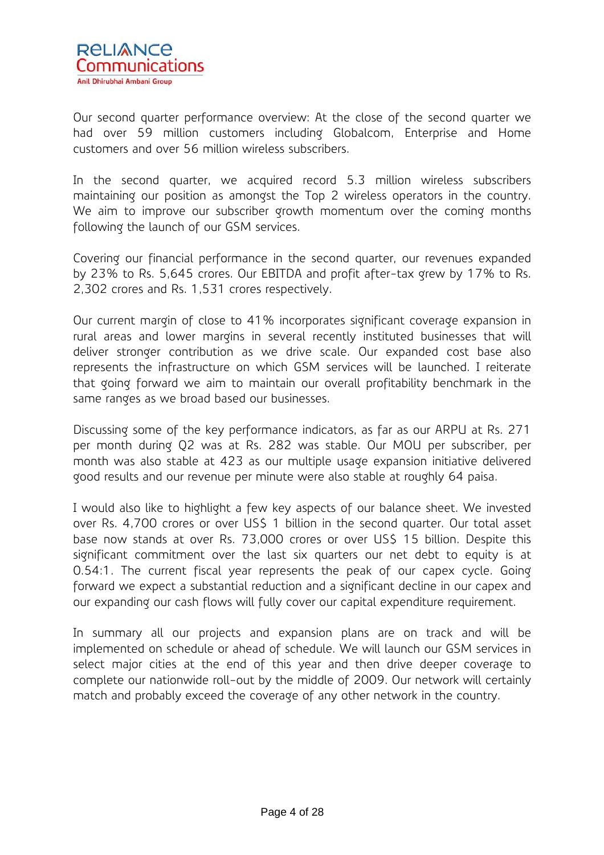

Our second quarter performance overview: At the close of the second quarter we had over 59 million customers including Globalcom, Enterprise and Home customers and over 56 million wireless subscribers.

In the second quarter, we acquired record 5.3 million wireless subscribers maintaining our position as amongst the Top 2 wireless operators in the country. We aim to improve our subscriber growth momentum over the coming months following the launch of our GSM services.

Covering our financial performance in the second quarter, our revenues expanded by 23% to Rs. 5,645 crores. Our EBITDA and profit after-tax grew by 17% to Rs. 2,302 crores and Rs. 1,531 crores respectively.

Our current margin of close to 41% incorporates significant coverage expansion in rural areas and lower margins in several recently instituted businesses that will deliver stronger contribution as we drive scale. Our expanded cost base also represents the infrastructure on which GSM services will be launched. I reiterate that going forward we aim to maintain our overall profitability benchmark in the same ranges as we broad based our businesses.

Discussing some of the key performance indicators, as far as our ARPU at Rs. 271 per month during Q2 was at Rs. 282 was stable. Our MOU per subscriber, per month was also stable at 423 as our multiple usage expansion initiative delivered good results and our revenue per minute were also stable at roughly 64 paisa.

I would also like to highlight a few key aspects of our balance sheet. We invested over Rs. 4,700 crores or over US\$ 1 billion in the second quarter. Our total asset base now stands at over Rs. 73,000 crores or over US\$ 15 billion. Despite this significant commitment over the last six quarters our net debt to equity is at 0.54:1. The current fiscal year represents the peak of our capex cycle. Going forward we expect a substantial reduction and a significant decline in our capex and our expanding our cash flows will fully cover our capital expenditure requirement.

In summary all our projects and expansion plans are on track and will be implemented on schedule or ahead of schedule. We will launch our GSM services in select major cities at the end of this year and then drive deeper coverage to complete our nationwide roll-out by the middle of 2009. Our network will certainly match and probably exceed the coverage of any other network in the country.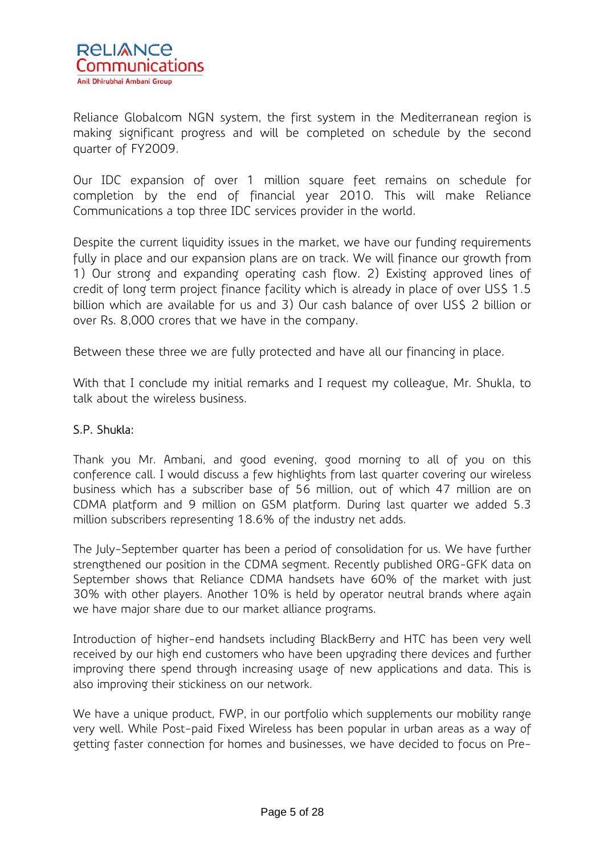

Reliance Globalcom NGN system, the first system in the Mediterranean region is making significant progress and will be completed on schedule by the second quarter of FY2009.

Our IDC expansion of over 1 million square feet remains on schedule for completion by the end of financial year 2010. This will make Reliance Communications a top three IDC services provider in the world.

Despite the current liquidity issues in the market, we have our funding requirements fully in place and our expansion plans are on track. We will finance our growth from 1) Our strong and expanding operating cash flow. 2) Existing approved lines of credit of long term project finance facility which is already in place of over US\$ 1.5 billion which are available for us and 3) Our cash balance of over US\$ 2 billion or over Rs. 8,000 crores that we have in the company.

Between these three we are fully protected and have all our financing in place.

With that I conclude my initial remarks and I request my colleague, Mr. Shukla, to talk about the wireless business.

## S.P. Shukla:

Thank you Mr. Ambani, and good evening, good morning to all of you on this conference call. I would discuss a few highlights from last quarter covering our wireless business which has a subscriber base of 56 million, out of which 47 million are on CDMA platform and 9 million on GSM platform. During last quarter we added 5.3 million subscribers representing 18.6% of the industry net adds.

The July-September quarter has been a period of consolidation for us. We have further strengthened our position in the CDMA segment. Recently published ORG-GFK data on September shows that Reliance CDMA handsets have 60% of the market with just 30% with other players. Another 10% is held by operator neutral brands where again we have major share due to our market alliance programs.

Introduction of higher-end handsets including BlackBerry and HTC has been very well received by our high end customers who have been upgrading there devices and further improving there spend through increasing usage of new applications and data. This is also improving their stickiness on our network.

We have a unique product, FWP, in our portfolio which supplements our mobility range very well. While Post-paid Fixed Wireless has been popular in urban areas as a way of getting faster connection for homes and businesses, we have decided to focus on Pre-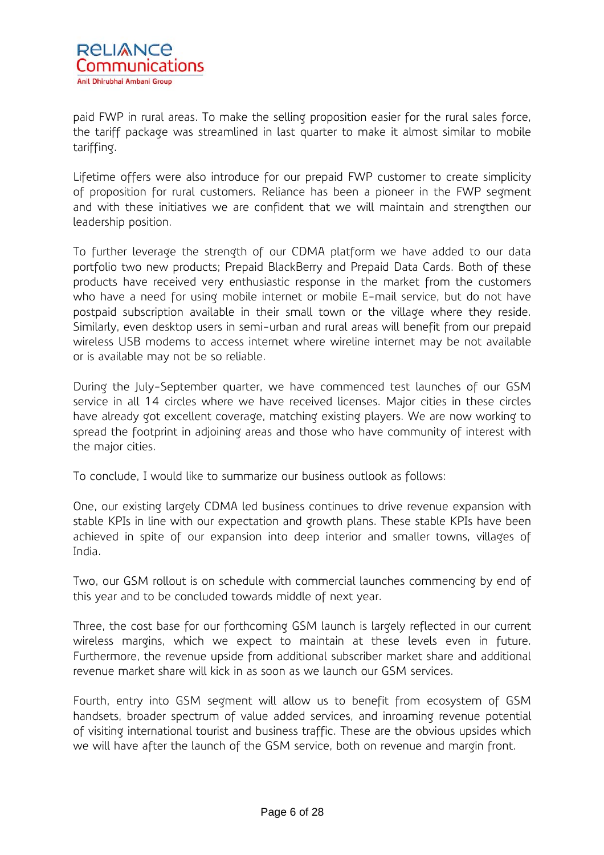

paid FWP in rural areas. To make the selling proposition easier for the rural sales force, the tariff package was streamlined in last quarter to make it almost similar to mobile tariffing.

Lifetime offers were also introduce for our prepaid FWP customer to create simplicity of proposition for rural customers. Reliance has been a pioneer in the FWP segment and with these initiatives we are confident that we will maintain and strengthen our leadership position.

To further leverage the strength of our CDMA platform we have added to our data portfolio two new products; Prepaid BlackBerry and Prepaid Data Cards. Both of these products have received very enthusiastic response in the market from the customers who have a need for using mobile internet or mobile E-mail service, but do not have postpaid subscription available in their small town or the village where they reside. Similarly, even desktop users in semi-urban and rural areas will benefit from our prepaid wireless USB modems to access internet where wireline internet may be not available or is available may not be so reliable.

During the July-September quarter, we have commenced test launches of our GSM service in all 14 circles where we have received licenses. Major cities in these circles have already got excellent coverage, matching existing players. We are now working to spread the footprint in adjoining areas and those who have community of interest with the major cities.

To conclude, I would like to summarize our business outlook as follows:

One, our existing largely CDMA led business continues to drive revenue expansion with stable KPIs in line with our expectation and growth plans. These stable KPIs have been achieved in spite of our expansion into deep interior and smaller towns, villages of India.

Two, our GSM rollout is on schedule with commercial launches commencing by end of this year and to be concluded towards middle of next year.

Three, the cost base for our forthcoming GSM launch is largely reflected in our current wireless margins, which we expect to maintain at these levels even in future. Furthermore, the revenue upside from additional subscriber market share and additional revenue market share will kick in as soon as we launch our GSM services.

Fourth, entry into GSM segment will allow us to benefit from ecosystem of GSM handsets, broader spectrum of value added services, and inroaming revenue potential of visiting international tourist and business traffic. These are the obvious upsides which we will have after the launch of the GSM service, both on revenue and margin front.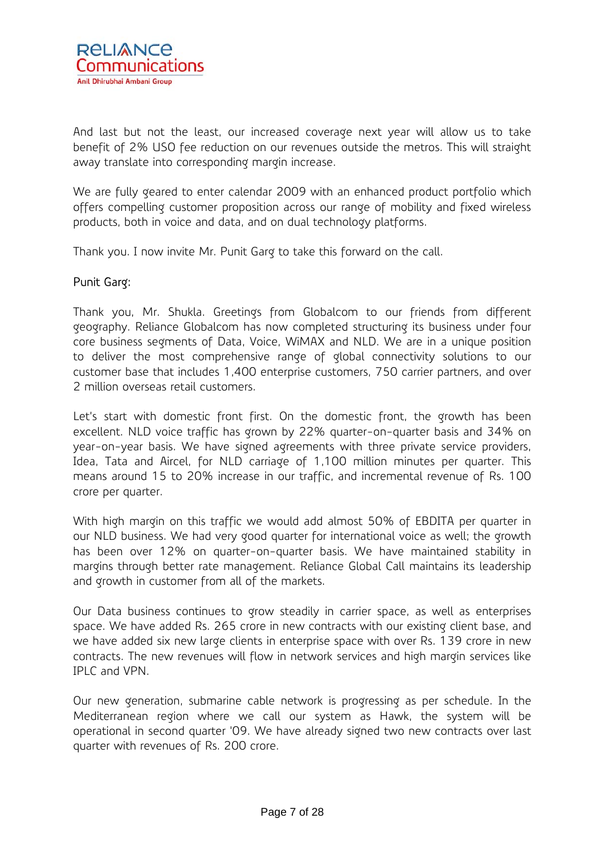

And last but not the least, our increased coverage next year will allow us to take benefit of 2% USO fee reduction on our revenues outside the metros. This will straight away translate into corresponding margin increase.

We are fully geared to enter calendar 2009 with an enhanced product portfolio which offers compelling customer proposition across our range of mobility and fixed wireless products, both in voice and data, and on dual technology platforms.

Thank you. I now invite Mr. Punit Garg to take this forward on the call.

#### Punit Garg:

Thank you, Mr. Shukla. Greetings from Globalcom to our friends from different geography. Reliance Globalcom has now completed structuring its business under four core business segments of Data, Voice, WiMAX and NLD. We are in a unique position to deliver the most comprehensive range of global connectivity solutions to our customer base that includes 1,400 enterprise customers, 750 carrier partners, and over 2 million overseas retail customers.

Let's start with domestic front first. On the domestic front, the growth has been excellent. NLD voice traffic has grown by 22% quarter-on-quarter basis and 34% on year-on-year basis. We have signed agreements with three private service providers, Idea, Tata and Aircel, for NLD carriage of 1,100 million minutes per quarter. This means around 15 to 20% increase in our traffic, and incremental revenue of Rs. 100 crore per quarter.

With high margin on this traffic we would add almost 50% of EBDITA per quarter in our NLD business. We had very good quarter for international voice as well; the growth has been over 12% on quarter-on-quarter basis. We have maintained stability in margins through better rate management. Reliance Global Call maintains its leadership and growth in customer from all of the markets.

Our Data business continues to grow steadily in carrier space, as well as enterprises space. We have added Rs. 265 crore in new contracts with our existing client base, and we have added six new large clients in enterprise space with over Rs. 139 crore in new contracts. The new revenues will flow in network services and high margin services like IPLC and VPN.

Our new generation, submarine cable network is progressing as per schedule. In the Mediterranean region where we call our system as Hawk, the system will be operational in second quarter '09. We have already signed two new contracts over last quarter with revenues of Rs. 200 crore.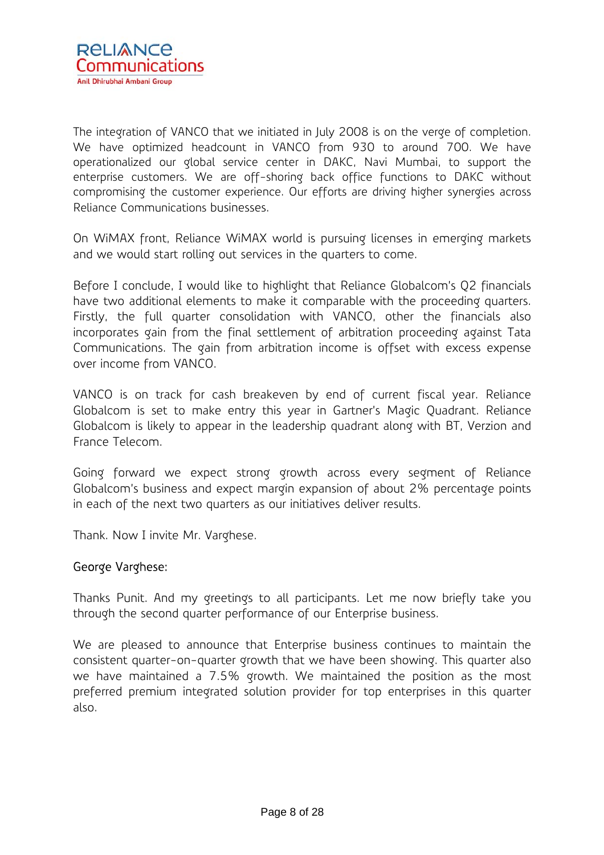The integration of VANCO that we initiated in July 2008 is on the verge of completion. We have optimized headcount in VANCO from 930 to around 700. We have operationalized our global service center in DAKC, Navi Mumbai, to support the enterprise customers. We are off-shoring back office functions to DAKC without compromising the customer experience. Our efforts are driving higher synergies across Reliance Communications businesses.

On WiMAX front, Reliance WiMAX world is pursuing licenses in emerging markets and we would start rolling out services in the quarters to come.

Before I conclude, I would like to highlight that Reliance Globalcom's Q2 financials have two additional elements to make it comparable with the proceeding quarters. Firstly, the full quarter consolidation with VANCO, other the financials also incorporates gain from the final settlement of arbitration proceeding against Tata Communications. The gain from arbitration income is offset with excess expense over income from VANCO.

VANCO is on track for cash breakeven by end of current fiscal year. Reliance Globalcom is set to make entry this year in Gartner's Magic Quadrant. Reliance Globalcom is likely to appear in the leadership quadrant along with BT, Verzion and France Telecom.

Going forward we expect strong growth across every segment of Reliance Globalcom's business and expect margin expansion of about 2% percentage points in each of the next two quarters as our initiatives deliver results.

Thank. Now I invite Mr. Varghese.

## George Varghese:

Thanks Punit. And my greetings to all participants. Let me now briefly take you through the second quarter performance of our Enterprise business.

We are pleased to announce that Enterprise business continues to maintain the consistent quarter-on-quarter growth that we have been showing. This quarter also we have maintained a 7.5% growth. We maintained the position as the most preferred premium integrated solution provider for top enterprises in this quarter also.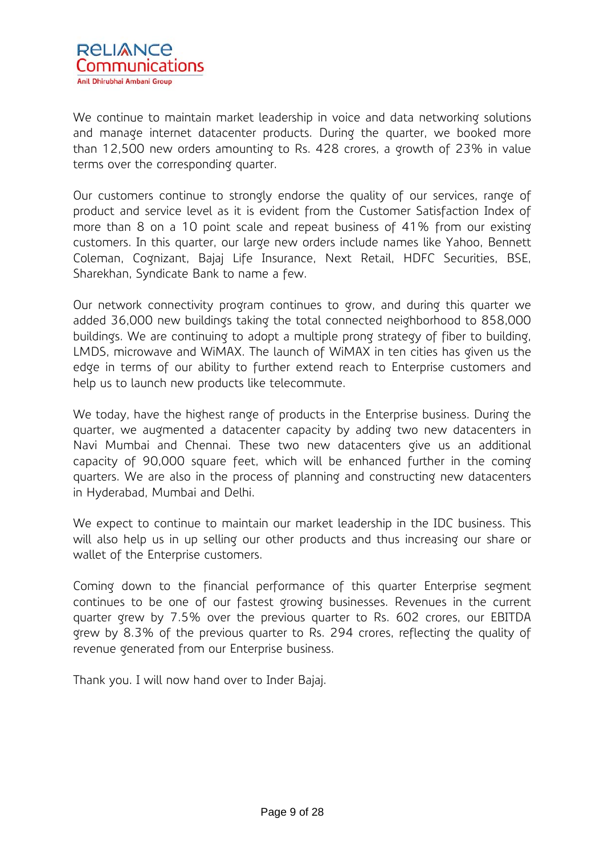

We continue to maintain market leadership in voice and data networking solutions and manage internet datacenter products. During the quarter, we booked more than 12,500 new orders amounting to Rs. 428 crores, a growth of 23% in value terms over the corresponding quarter.

Our customers continue to strongly endorse the quality of our services, range of product and service level as it is evident from the Customer Satisfaction Index of more than 8 on a 10 point scale and repeat business of 41% from our existing customers. In this quarter, our large new orders include names like Yahoo, Bennett Coleman, Cognizant, Bajaj Life Insurance, Next Retail, HDFC Securities, BSE, Sharekhan, Syndicate Bank to name a few.

Our network connectivity program continues to grow, and during this quarter we added 36,000 new buildings taking the total connected neighborhood to 858,000 buildings. We are continuing to adopt a multiple prong strategy of fiber to building, LMDS, microwave and WiMAX. The launch of WiMAX in ten cities has given us the edge in terms of our ability to further extend reach to Enterprise customers and help us to launch new products like telecommute.

We today, have the highest range of products in the Enterprise business. During the quarter, we augmented a datacenter capacity by adding two new datacenters in Navi Mumbai and Chennai. These two new datacenters give us an additional capacity of 90,000 square feet, which will be enhanced further in the coming quarters. We are also in the process of planning and constructing new datacenters in Hyderabad, Mumbai and Delhi.

We expect to continue to maintain our market leadership in the IDC business. This will also help us in up selling our other products and thus increasing our share or wallet of the Enterprise customers.

Coming down to the financial performance of this quarter Enterprise segment continues to be one of our fastest growing businesses. Revenues in the current quarter grew by 7.5% over the previous quarter to Rs. 602 crores, our EBITDA grew by 8.3% of the previous quarter to Rs. 294 crores, reflecting the quality of revenue generated from our Enterprise business.

Thank you. I will now hand over to Inder Bajaj.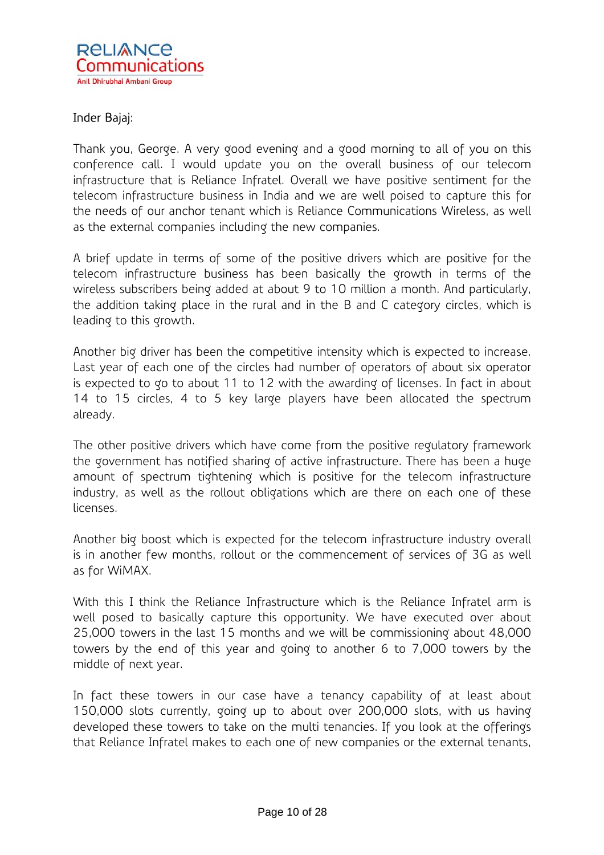

# Inder Bajaj:

Thank you, George. A very good evening and a good morning to all of you on this conference call. I would update you on the overall business of our telecom infrastructure that is Reliance Infratel. Overall we have positive sentiment for the telecom infrastructure business in India and we are well poised to capture this for the needs of our anchor tenant which is Reliance Communications Wireless, as well as the external companies including the new companies.

A brief update in terms of some of the positive drivers which are positive for the telecom infrastructure business has been basically the growth in terms of the wireless subscribers being added at about 9 to 10 million a month. And particularly, the addition taking place in the rural and in the B and C category circles, which is leading to this growth.

Another big driver has been the competitive intensity which is expected to increase. Last year of each one of the circles had number of operators of about six operator is expected to go to about 11 to 12 with the awarding of licenses. In fact in about 14 to 15 circles, 4 to 5 key large players have been allocated the spectrum already.

The other positive drivers which have come from the positive regulatory framework the government has notified sharing of active infrastructure. There has been a huge amount of spectrum tightening which is positive for the telecom infrastructure industry, as well as the rollout obligations which are there on each one of these licenses.

Another big boost which is expected for the telecom infrastructure industry overall is in another few months, rollout or the commencement of services of 3G as well as for WiMAX.

With this I think the Reliance Infrastructure which is the Reliance Infratel arm is well posed to basically capture this opportunity. We have executed over about 25,000 towers in the last 15 months and we will be commissioning about 48,000 towers by the end of this year and going to another 6 to 7,000 towers by the middle of next year.

In fact these towers in our case have a tenancy capability of at least about 150,000 slots currently, going up to about over 200,000 slots, with us having developed these towers to take on the multi tenancies. If you look at the offerings that Reliance Infratel makes to each one of new companies or the external tenants,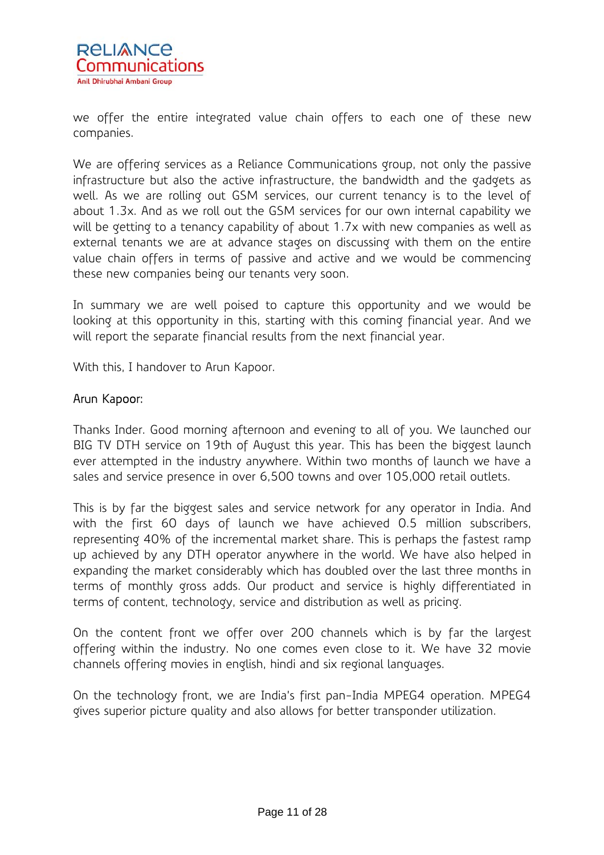

we offer the entire integrated value chain offers to each one of these new companies.

We are offering services as a Reliance Communications group, not only the passive infrastructure but also the active infrastructure, the bandwidth and the gadgets as well. As we are rolling out GSM services, our current tenancy is to the level of about 1.3x. And as we roll out the GSM services for our own internal capability we will be getting to a tenancy capability of about 1.7x with new companies as well as external tenants we are at advance stages on discussing with them on the entire value chain offers in terms of passive and active and we would be commencing these new companies being our tenants very soon.

In summary we are well poised to capture this opportunity and we would be looking at this opportunity in this, starting with this coming financial year. And we will report the separate financial results from the next financial year.

With this, I handover to Arun Kapoor.

### Arun Kapoor:

Thanks Inder. Good morning afternoon and evening to all of you. We launched our BIG TV DTH service on 19th of August this year. This has been the biggest launch ever attempted in the industry anywhere. Within two months of launch we have a sales and service presence in over 6,500 towns and over 105,000 retail outlets.

This is by far the biggest sales and service network for any operator in India. And with the first 60 days of launch we have achieved 0.5 million subscribers, representing 40% of the incremental market share. This is perhaps the fastest ramp up achieved by any DTH operator anywhere in the world. We have also helped in expanding the market considerably which has doubled over the last three months in terms of monthly gross adds. Our product and service is highly differentiated in terms of content, technology, service and distribution as well as pricing.

On the content front we offer over 200 channels which is by far the largest offering within the industry. No one comes even close to it. We have 32 movie channels offering movies in english, hindi and six regional languages.

On the technology front, we are India's first pan-India MPEG4 operation. MPEG4 gives superior picture quality and also allows for better transponder utilization.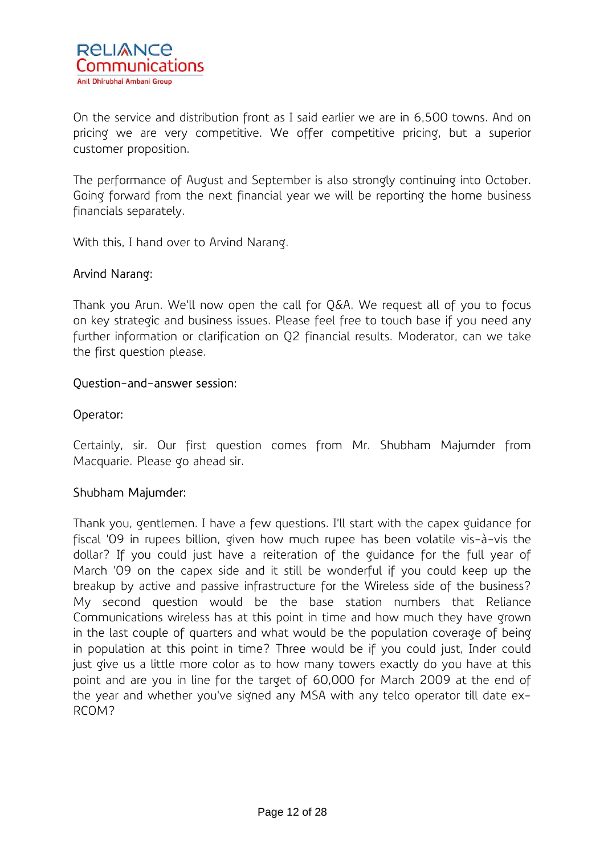On the service and distribution front as I said earlier we are in 6,500 towns. And on pricing we are very competitive. We offer competitive pricing, but a superior customer proposition.

The performance of August and September is also strongly continuing into October. Going forward from the next financial year we will be reporting the home business financials separately.

With this, I hand over to Arvind Narang.

# Arvind Narang:

Thank you Arun. We'll now open the call for Q&A. We request all of you to focus on key strategic and business issues. Please feel free to touch base if you need any further information or clarification on Q2 financial results. Moderator, can we take the first question please.

### Question-and-answer session:

## Operator:

Certainly, sir. Our first question comes from Mr. Shubham Majumder from Macquarie. Please go ahead sir.

## Shubham Majumder:

Thank you, gentlemen. I have a few questions. I'll start with the capex guidance for fiscal '09 in rupees billion, given how much rupee has been volatile vis-à-vis the dollar? If you could just have a reiteration of the guidance for the full year of March '09 on the capex side and it still be wonderful if you could keep up the breakup by active and passive infrastructure for the Wireless side of the business? My second question would be the base station numbers that Reliance Communications wireless has at this point in time and how much they have grown in the last couple of quarters and what would be the population coverage of being in population at this point in time? Three would be if you could just, Inder could just give us a little more color as to how many towers exactly do you have at this point and are you in line for the target of 60,000 for March 2009 at the end of the year and whether you've signed any MSA with any telco operator till date ex-RCOM?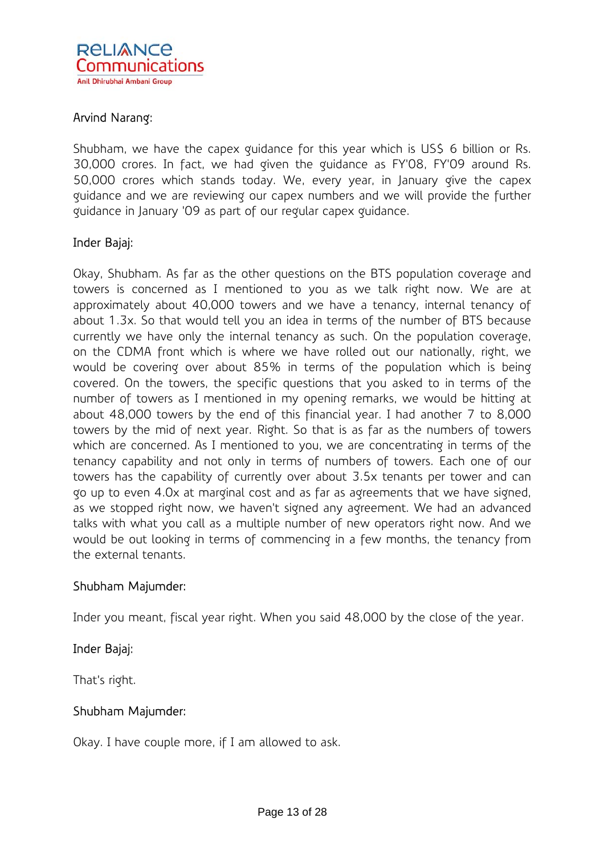

## Arvind Narang:

Shubham, we have the capex guidance for this year which is US\$ 6 billion or Rs. 30,000 crores. In fact, we had given the guidance as FY'08, FY'09 around Rs. 50,000 crores which stands today. We, every year, in January give the capex guidance and we are reviewing our capex numbers and we will provide the further guidance in January '09 as part of our regular capex guidance.

## Inder Bajaj:

Okay, Shubham. As far as the other questions on the BTS population coverage and towers is concerned as I mentioned to you as we talk right now. We are at approximately about 40,000 towers and we have a tenancy, internal tenancy of about 1.3x. So that would tell you an idea in terms of the number of BTS because currently we have only the internal tenancy as such. On the population coverage, on the CDMA front which is where we have rolled out our nationally, right, we would be covering over about 85% in terms of the population which is being covered. On the towers, the specific questions that you asked to in terms of the number of towers as I mentioned in my opening remarks, we would be hitting at about 48,000 towers by the end of this financial year. I had another 7 to 8,000 towers by the mid of next year. Right. So that is as far as the numbers of towers which are concerned. As I mentioned to you, we are concentrating in terms of the tenancy capability and not only in terms of numbers of towers. Each one of our towers has the capability of currently over about 3.5x tenants per tower and can go up to even 4.0x at marginal cost and as far as agreements that we have signed, as we stopped right now, we haven't signed any agreement. We had an advanced talks with what you call as a multiple number of new operators right now. And we would be out looking in terms of commencing in a few months, the tenancy from the external tenants.

#### Shubham Majumder:

Inder you meant, fiscal year right. When you said 48,000 by the close of the year.

## Inder Bajaj:

That's right.

#### Shubham Majumder:

Okay. I have couple more, if I am allowed to ask.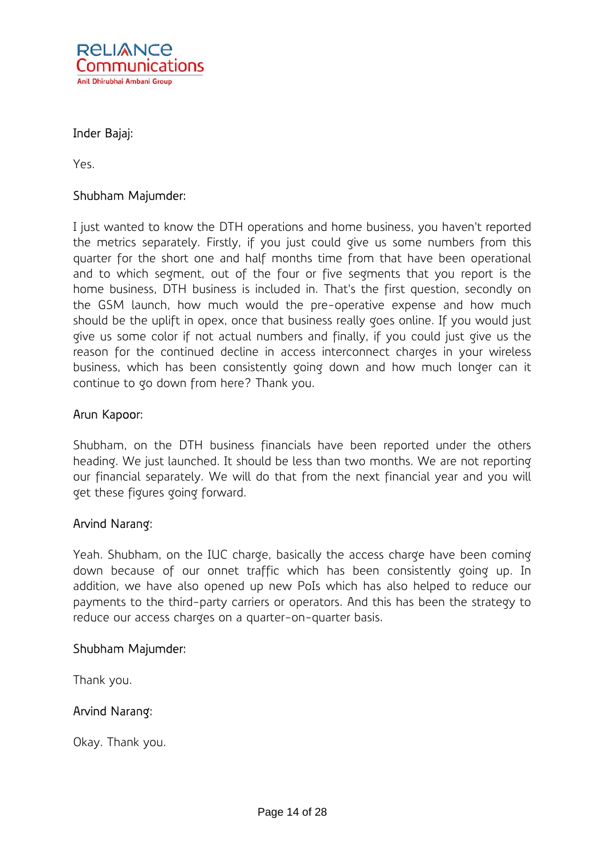

## Inder Bajaj:

Yes.

## Shubham Majumder:

I just wanted to know the DTH operations and home business, you haven't reported the metrics separately. Firstly, if you just could give us some numbers from this quarter for the short one and half months time from that have been operational and to which segment, out of the four or five segments that you report is the home business, DTH business is included in. That's the first question, secondly on the GSM launch, how much would the pre-operative expense and how much should be the uplift in opex, once that business really goes online. If you would just give us some color if not actual numbers and finally, if you could just give us the reason for the continued decline in access interconnect charges in your wireless business, which has been consistently going down and how much longer can it continue to go down from here? Thank you.

#### Arun Kapoor:

Shubham, on the DTH business financials have been reported under the others heading. We just launched. It should be less than two months. We are not reporting our financial separately. We will do that from the next financial year and you will get these figures going forward.

#### Arvind Narang:

Yeah. Shubham, on the IUC charge, basically the access charge have been coming down because of our onnet traffic which has been consistently going up. In addition, we have also opened up new PoIs which has also helped to reduce our payments to the third-party carriers or operators. And this has been the strategy to reduce our access charges on a quarter-on-quarter basis.

#### Shubham Majumder:

Thank you.

## Arvind Narang:

Okay. Thank you.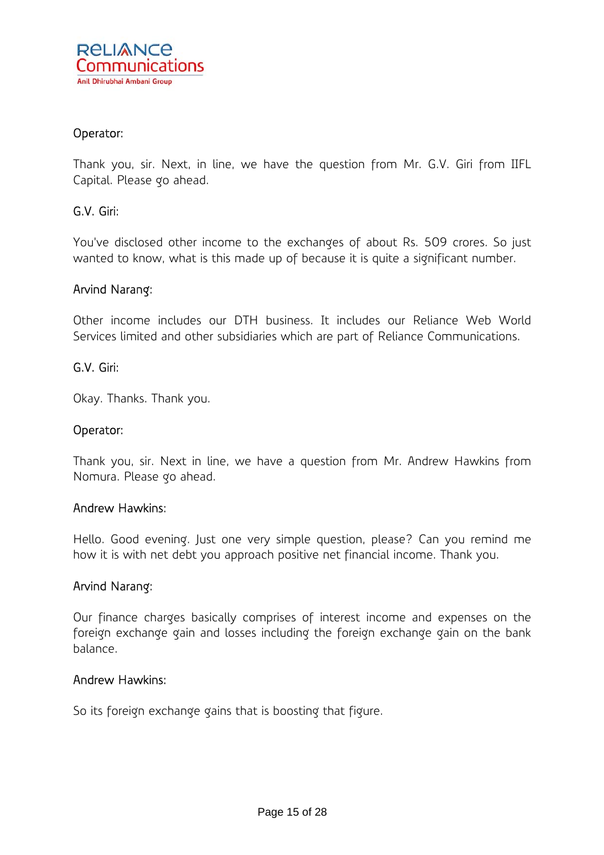

### Operator:

Thank you, sir. Next, in line, we have the question from Mr. G.V. Giri from IIFL Capital. Please go ahead.

### G.V. Giri:

You've disclosed other income to the exchanges of about Rs. 509 crores. So just wanted to know, what is this made up of because it is quite a significant number.

#### Arvind Narang:

Other income includes our DTH business. It includes our Reliance Web World Services limited and other subsidiaries which are part of Reliance Communications.

#### G.V. Giri:

Okay. Thanks. Thank you.

#### Operator:

Thank you, sir. Next in line, we have a question from Mr. Andrew Hawkins from Nomura. Please go ahead.

#### Andrew Hawkins:

Hello. Good evening. Just one very simple question, please? Can you remind me how it is with net debt you approach positive net financial income. Thank you.

#### Arvind Narang:

Our finance charges basically comprises of interest income and expenses on the foreign exchange gain and losses including the foreign exchange gain on the bank balance.

#### Andrew Hawkins:

So its foreign exchange gains that is boosting that figure.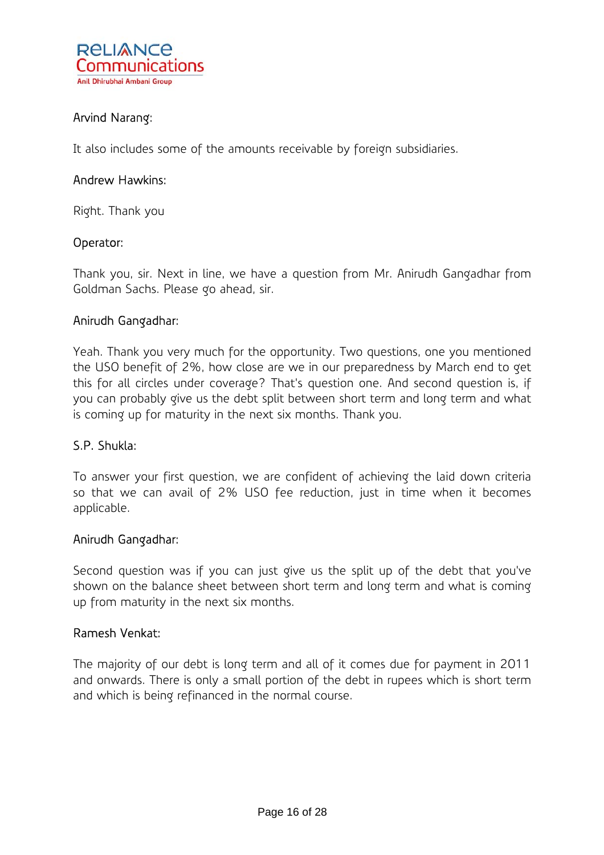

# Arvind Narang:

It also includes some of the amounts receivable by foreign subsidiaries.

### Andrew Hawkins:

Right. Thank you

### Operator:

Thank you, sir. Next in line, we have a question from Mr. Anirudh Gangadhar from Goldman Sachs. Please go ahead, sir.

### Anirudh Gangadhar:

Yeah. Thank you very much for the opportunity. Two questions, one you mentioned the USO benefit of 2%, how close are we in our preparedness by March end to get this for all circles under coverage? That's question one. And second question is, if you can probably give us the debt split between short term and long term and what is coming up for maturity in the next six months. Thank you.

#### S.P. Shukla:

To answer your first question, we are confident of achieving the laid down criteria so that we can avail of 2% USO fee reduction, just in time when it becomes applicable.

#### Anirudh Gangadhar:

Second question was if you can just give us the split up of the debt that you've shown on the balance sheet between short term and long term and what is coming up from maturity in the next six months.

#### Ramesh Venkat:

The majority of our debt is long term and all of it comes due for payment in 2011 and onwards. There is only a small portion of the debt in rupees which is short term and which is being refinanced in the normal course.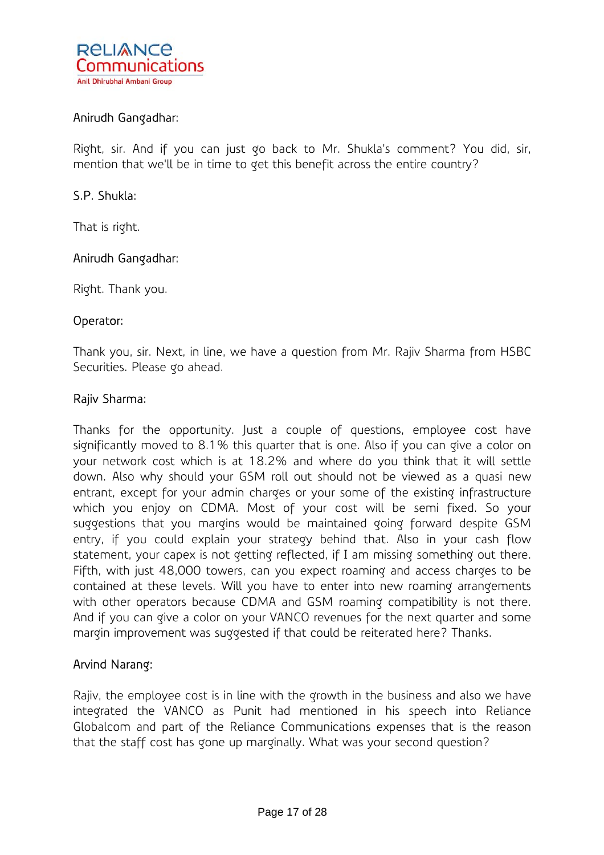

## Anirudh Gangadhar:

Right, sir. And if you can just go back to Mr. Shukla's comment? You did, sir, mention that we'll be in time to get this benefit across the entire country?

### S.P. Shukla:

That is right.

### Anirudh Gangadhar:

Right. Thank you.

#### Operator:

Thank you, sir. Next, in line, we have a question from Mr. Rajiv Sharma from HSBC Securities. Please go ahead.

#### Rajiv Sharma:

Thanks for the opportunity. Just a couple of questions, employee cost have significantly moved to 8.1% this quarter that is one. Also if you can give a color on your network cost which is at 18.2% and where do you think that it will settle down. Also why should your GSM roll out should not be viewed as a quasi new entrant, except for your admin charges or your some of the existing infrastructure which you enjoy on CDMA. Most of your cost will be semi fixed. So your suggestions that you margins would be maintained going forward despite GSM entry, if you could explain your strategy behind that. Also in your cash flow statement, your capex is not getting reflected, if I am missing something out there. Fifth, with just 48,000 towers, can you expect roaming and access charges to be contained at these levels. Will you have to enter into new roaming arrangements with other operators because CDMA and GSM roaming compatibility is not there. And if you can give a color on your VANCO revenues for the next quarter and some margin improvement was suggested if that could be reiterated here? Thanks.

#### Arvind Narang:

Rajiv, the employee cost is in line with the growth in the business and also we have integrated the VANCO as Punit had mentioned in his speech into Reliance Globalcom and part of the Reliance Communications expenses that is the reason that the staff cost has gone up marginally. What was your second question?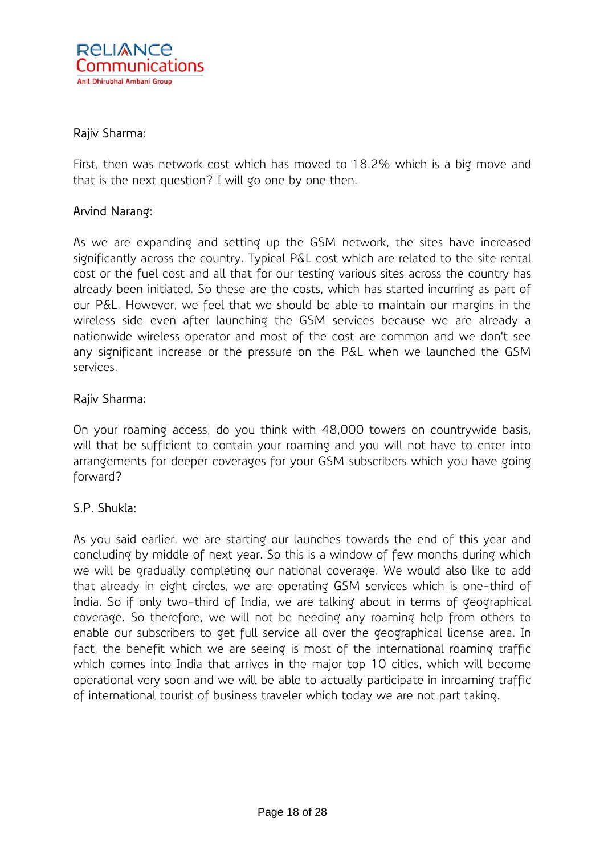

### Rajiv Sharma:

First, then was network cost which has moved to 18.2% which is a big move and that is the next question? I will go one by one then.

### Arvind Narang:

As we are expanding and setting up the GSM network, the sites have increased significantly across the country. Typical P&L cost which are related to the site rental cost or the fuel cost and all that for our testing various sites across the country has already been initiated. So these are the costs, which has started incurring as part of our P&L. However, we feel that we should be able to maintain our margins in the wireless side even after launching the GSM services because we are already a nationwide wireless operator and most of the cost are common and we don't see any significant increase or the pressure on the P&L when we launched the GSM services.

### Rajiv Sharma:

On your roaming access, do you think with 48,000 towers on countrywide basis, will that be sufficient to contain your roaming and you will not have to enter into arrangements for deeper coverages for your GSM subscribers which you have going forward?

#### S.P. Shukla:

As you said earlier, we are starting our launches towards the end of this year and concluding by middle of next year. So this is a window of few months during which we will be gradually completing our national coverage. We would also like to add that already in eight circles, we are operating GSM services which is one-third of India. So if only two-third of India, we are talking about in terms of geographical coverage. So therefore, we will not be needing any roaming help from others to enable our subscribers to get full service all over the geographical license area. In fact, the benefit which we are seeing is most of the international roaming traffic which comes into India that arrives in the major top 10 cities, which will become operational very soon and we will be able to actually participate in inroaming traffic of international tourist of business traveler which today we are not part taking.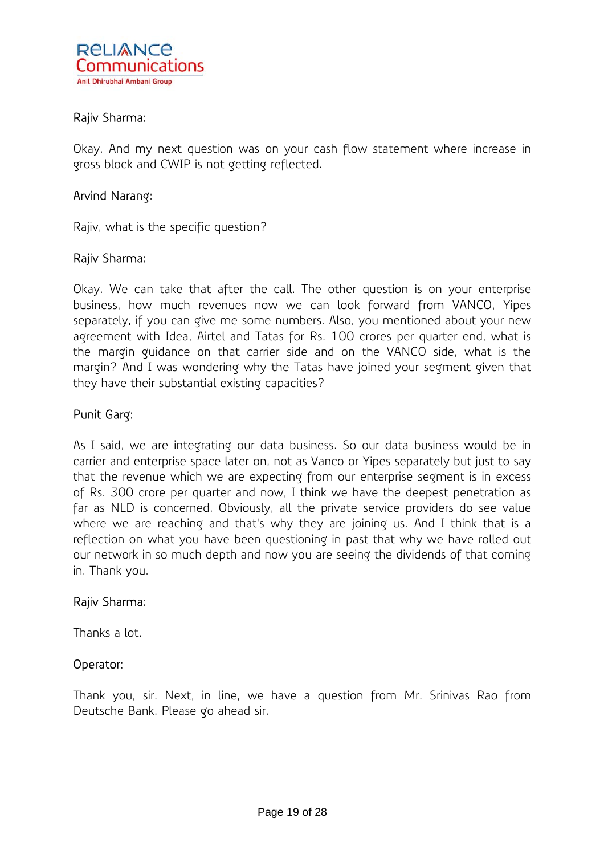

### Rajiv Sharma:

Okay. And my next question was on your cash flow statement where increase in gross block and CWIP is not getting reflected.

### Arvind Narang:

Rajiv, what is the specific question?

#### Rajiv Sharma:

Okay. We can take that after the call. The other question is on your enterprise business, how much revenues now we can look forward from VANCO, Yipes separately, if you can give me some numbers. Also, you mentioned about your new agreement with Idea, Airtel and Tatas for Rs. 100 crores per quarter end, what is the margin guidance on that carrier side and on the VANCO side, what is the margin? And I was wondering why the Tatas have joined your segment given that they have their substantial existing capacities?

### Punit Garg:

As I said, we are integrating our data business. So our data business would be in carrier and enterprise space later on, not as Vanco or Yipes separately but just to say that the revenue which we are expecting from our enterprise segment is in excess of Rs. 300 crore per quarter and now, I think we have the deepest penetration as far as NLD is concerned. Obviously, all the private service providers do see value where we are reaching and that's why they are joining us. And I think that is a reflection on what you have been questioning in past that why we have rolled out our network in so much depth and now you are seeing the dividends of that coming in. Thank you.

#### Rajiv Sharma:

Thanks a lot.

#### Operator:

Thank you, sir. Next, in line, we have a question from Mr. Srinivas Rao from Deutsche Bank. Please go ahead sir.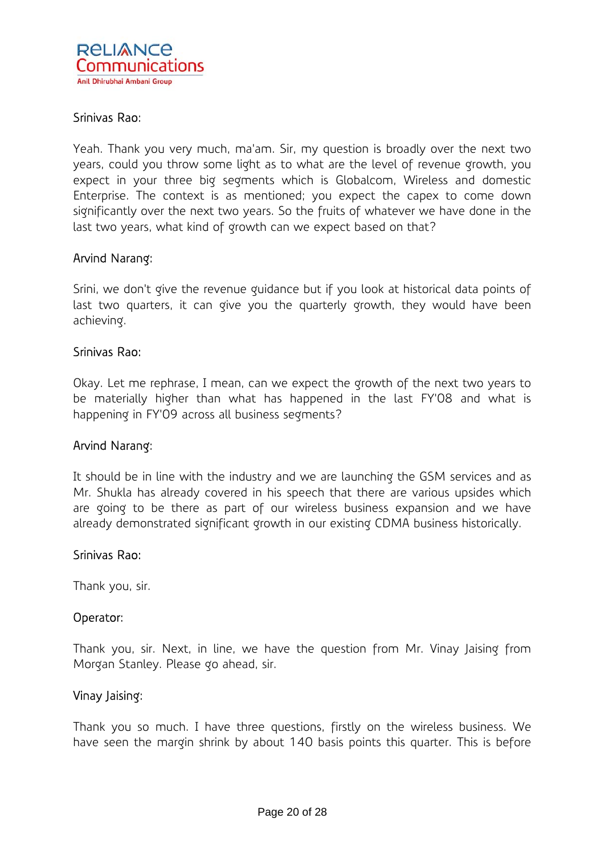

### Srinivas Rao:

Yeah. Thank you very much, ma'am. Sir, my question is broadly over the next two years, could you throw some light as to what are the level of revenue growth, you expect in your three big segments which is Globalcom, Wireless and domestic Enterprise. The context is as mentioned; you expect the capex to come down significantly over the next two years. So the fruits of whatever we have done in the last two years, what kind of growth can we expect based on that?

#### Arvind Narang:

Srini, we don't give the revenue guidance but if you look at historical data points of last two quarters, it can give you the quarterly growth, they would have been achieving.

#### Srinivas Rao:

Okay. Let me rephrase, I mean, can we expect the growth of the next two years to be materially higher than what has happened in the last FY'08 and what is happening in FY'09 across all business segments?

#### Arvind Narang:

It should be in line with the industry and we are launching the GSM services and as Mr. Shukla has already covered in his speech that there are various upsides which are going to be there as part of our wireless business expansion and we have already demonstrated significant growth in our existing CDMA business historically.

#### Srinivas Rao:

Thank you, sir.

#### Operator:

Thank you, sir. Next, in line, we have the question from Mr. Vinay Jaising from Morgan Stanley. Please go ahead, sir.

#### Vinay Jaising:

Thank you so much. I have three questions, firstly on the wireless business. We have seen the margin shrink by about 140 basis points this quarter. This is before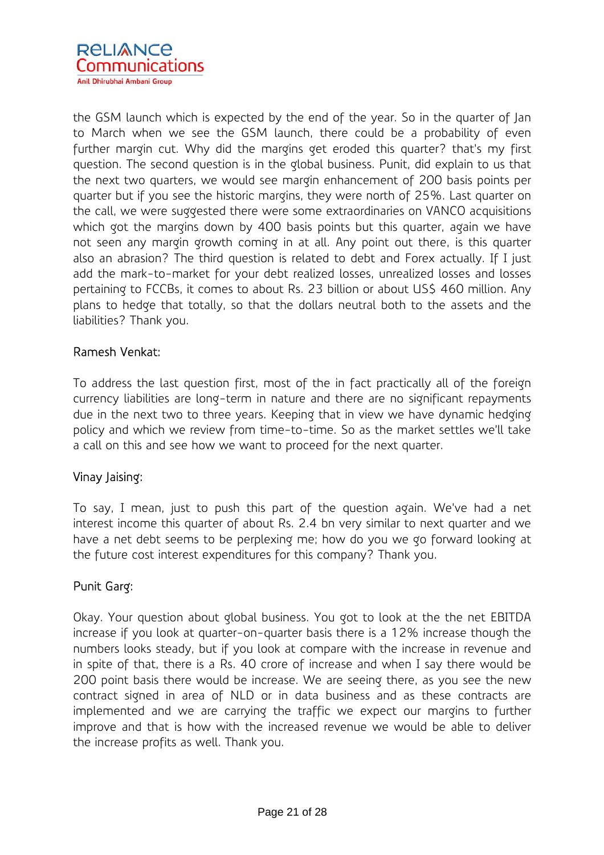

the GSM launch which is expected by the end of the year. So in the quarter of Jan to March when we see the GSM launch, there could be a probability of even further margin cut. Why did the margins get eroded this quarter? that's my first question. The second question is in the global business. Punit, did explain to us that the next two quarters, we would see margin enhancement of 200 basis points per quarter but if you see the historic margins, they were north of 25%. Last quarter on the call, we were suggested there were some extraordinaries on VANCO acquisitions which got the margins down by 400 basis points but this quarter, again we have not seen any margin growth coming in at all. Any point out there, is this quarter also an abrasion? The third question is related to debt and Forex actually. If I just add the mark-to-market for your debt realized losses, unrealized losses and losses pertaining to FCCBs, it comes to about Rs. 23 billion or about US\$ 460 million. Any plans to hedge that totally, so that the dollars neutral both to the assets and the liabilities? Thank you.

### Ramesh Venkat:

To address the last question first, most of the in fact practically all of the foreign currency liabilities are long-term in nature and there are no significant repayments due in the next two to three years. Keeping that in view we have dynamic hedging policy and which we review from time-to-time. So as the market settles we'll take a call on this and see how we want to proceed for the next quarter.

#### Vinay Jaising:

To say, I mean, just to push this part of the question again. We've had a net interest income this quarter of about Rs. 2.4 bn very similar to next quarter and we have a net debt seems to be perplexing me; how do you we go forward looking at the future cost interest expenditures for this company? Thank you.

## Punit Garg:

Okay. Your question about global business. You got to look at the the net EBITDA increase if you look at quarter-on-quarter basis there is a 12% increase though the numbers looks steady, but if you look at compare with the increase in revenue and in spite of that, there is a Rs. 40 crore of increase and when I say there would be 200 point basis there would be increase. We are seeing there, as you see the new contract signed in area of NLD or in data business and as these contracts are implemented and we are carrying the traffic we expect our margins to further improve and that is how with the increased revenue we would be able to deliver the increase profits as well. Thank you.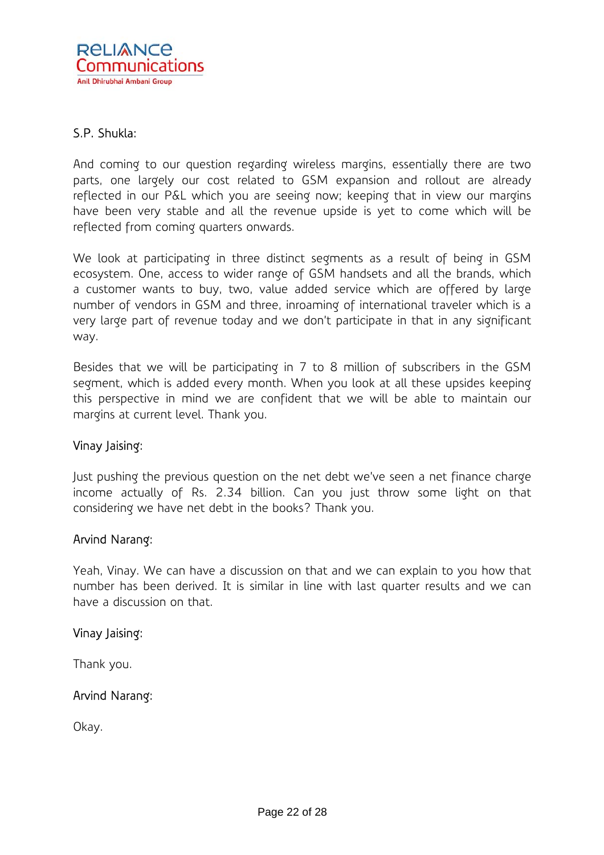

### S.P. Shukla:

And coming to our question regarding wireless margins, essentially there are two parts, one largely our cost related to GSM expansion and rollout are already reflected in our P&L which you are seeing now; keeping that in view our margins have been very stable and all the revenue upside is yet to come which will be reflected from coming quarters onwards.

We look at participating in three distinct segments as a result of being in GSM ecosystem. One, access to wider range of GSM handsets and all the brands, which a customer wants to buy, two, value added service which are offered by large number of vendors in GSM and three, inroaming of international traveler which is a very large part of revenue today and we don't participate in that in any significant way.

Besides that we will be participating in 7 to 8 million of subscribers in the GSM segment, which is added every month. When you look at all these upsides keeping this perspective in mind we are confident that we will be able to maintain our margins at current level. Thank you.

#### Vinay Jaising:

Just pushing the previous question on the net debt we've seen a net finance charge income actually of Rs. 2.34 billion. Can you just throw some light on that considering we have net debt in the books? Thank you.

#### Arvind Narang:

Yeah, Vinay. We can have a discussion on that and we can explain to you how that number has been derived. It is similar in line with last quarter results and we can have a discussion on that.

#### Vinay Jaising:

Thank you.

#### Arvind Narang:

Okay.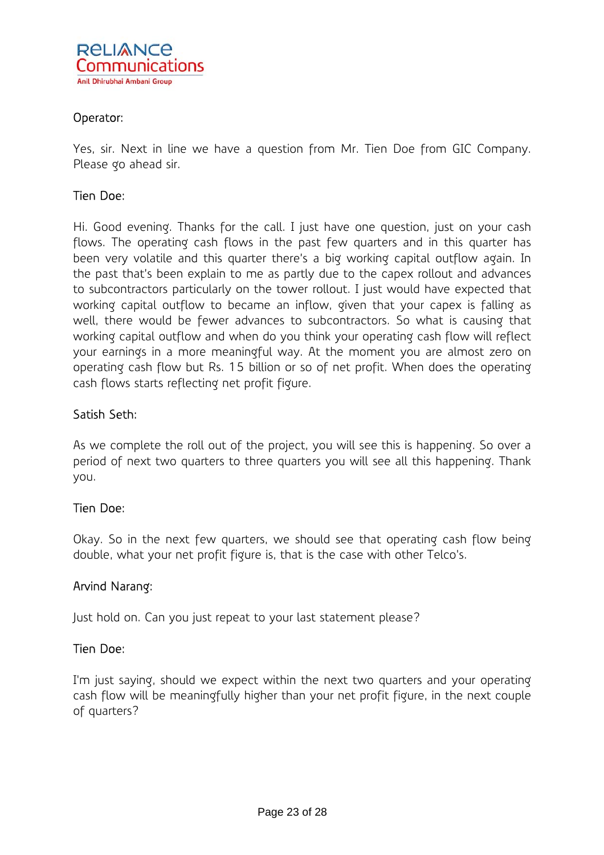

## Operator:

Yes, sir. Next in line we have a question from Mr. Tien Doe from GIC Company. Please go ahead sir.

## Tien Doe:

Hi. Good evening. Thanks for the call. I just have one question, just on your cash flows. The operating cash flows in the past few quarters and in this quarter has been very volatile and this quarter there's a big working capital outflow again. In the past that's been explain to me as partly due to the capex rollout and advances to subcontractors particularly on the tower rollout. I just would have expected that working capital outflow to became an inflow, given that your capex is falling as well, there would be fewer advances to subcontractors. So what is causing that working capital outflow and when do you think your operating cash flow will reflect your earnings in a more meaningful way. At the moment you are almost zero on operating cash flow but Rs. 15 billion or so of net profit. When does the operating cash flows starts reflecting net profit figure.

### Satish Seth:

As we complete the roll out of the project, you will see this is happening. So over a period of next two quarters to three quarters you will see all this happening. Thank you.

#### Tien Doe:

Okay. So in the next few quarters, we should see that operating cash flow being double, what your net profit figure is, that is the case with other Telco's.

#### Arvind Narang:

Just hold on. Can you just repeat to your last statement please?

#### Tien Doe:

I'm just saying, should we expect within the next two quarters and your operating cash flow will be meaningfully higher than your net profit figure, in the next couple of quarters?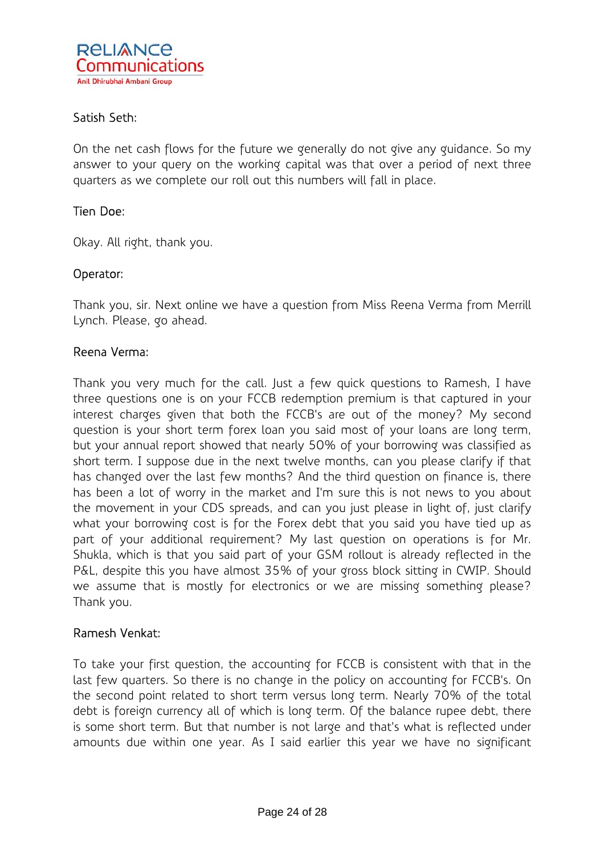## Satish Seth:

On the net cash flows for the future we generally do not give any guidance. So my answer to your query on the working capital was that over a period of next three quarters as we complete our roll out this numbers will fall in place.

## Tien Doe:

Okay. All right, thank you.

### Operator:

Thank you, sir. Next online we have a question from Miss Reena Verma from Merrill Lynch. Please, go ahead.

### Reena Verma:

Thank you very much for the call. Just a few quick questions to Ramesh, I have three questions one is on your FCCB redemption premium is that captured in your interest charges given that both the FCCB's are out of the money? My second question is your short term forex loan you said most of your loans are long term, but your annual report showed that nearly 50% of your borrowing was classified as short term. I suppose due in the next twelve months, can you please clarify if that has changed over the last few months? And the third question on finance is, there has been a lot of worry in the market and I'm sure this is not news to you about the movement in your CDS spreads, and can you just please in light of, just clarify what your borrowing cost is for the Forex debt that you said you have tied up as part of your additional requirement? My last question on operations is for Mr. Shukla, which is that you said part of your GSM rollout is already reflected in the P&L, despite this you have almost 35% of your gross block sitting in CWIP. Should we assume that is mostly for electronics or we are missing something please? Thank you.

## Ramesh Venkat:

To take your first question, the accounting for FCCB is consistent with that in the last few quarters. So there is no change in the policy on accounting for FCCB's. On the second point related to short term versus long term. Nearly 70% of the total debt is foreign currency all of which is long term. Of the balance rupee debt, there is some short term. But that number is not large and that's what is reflected under amounts due within one year. As I said earlier this year we have no significant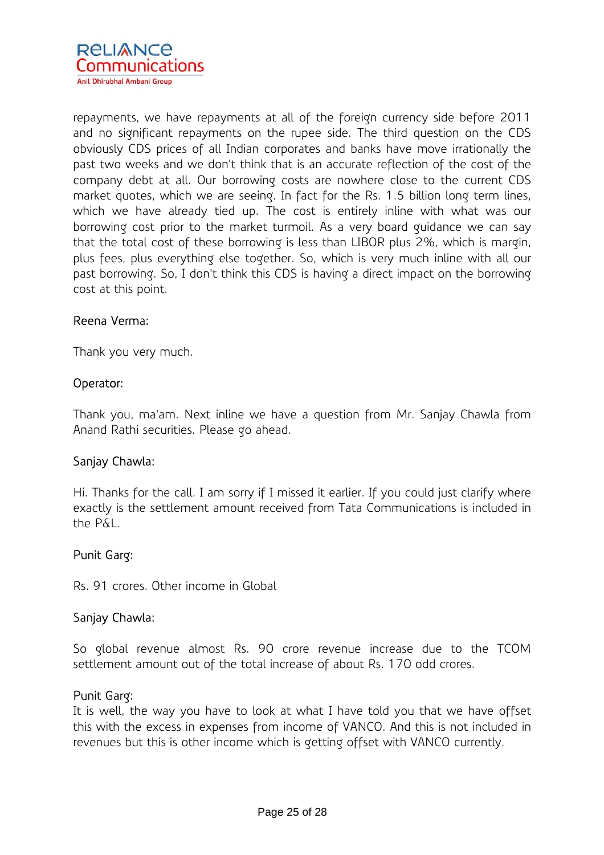

repayments, we have repayments at all of the foreign currency side before 2011 and no significant repayments on the rupee side. The third question on the CDS obviously CDS prices of all Indian corporates and banks have move irrationally the past two weeks and we don't think that is an accurate reflection of the cost of the company debt at all. Our borrowing costs are nowhere close to the current CDS market quotes, which we are seeing. In fact for the Rs. 1.5 billion long term lines, which we have already tied up. The cost is entirely inline with what was our borrowing cost prior to the market turmoil. As a very board guidance we can say that the total cost of these borrowing is less than LIBOR plus 2%, which is margin, plus fees, plus everything else together. So, which is very much inline with all our past borrowing. So, I don't think this CDS is having a direct impact on the borrowing cost at this point.

### Reena Verma:

Thank you very much.

#### Operator:

Thank you, ma'am. Next inline we have a question from Mr. Sanjay Chawla from Anand Rathi securities. Please go ahead.

## Sanjay Chawla:

Hi. Thanks for the call. I am sorry if I missed it earlier. If you could just clarify where exactly is the settlement amount received from Tata Communications is included in the P&L.

#### Punit Garg:

Rs. 91 crores. Other income in Global

#### Sanjay Chawla:

So global revenue almost Rs. 90 crore revenue increase due to the TCOM settlement amount out of the total increase of about Rs. 170 odd crores.

#### Punit Garg:

It is well, the way you have to look at what I have told you that we have offset this with the excess in expenses from income of VANCO. And this is not included in revenues but this is other income which is getting offset with VANCO currently.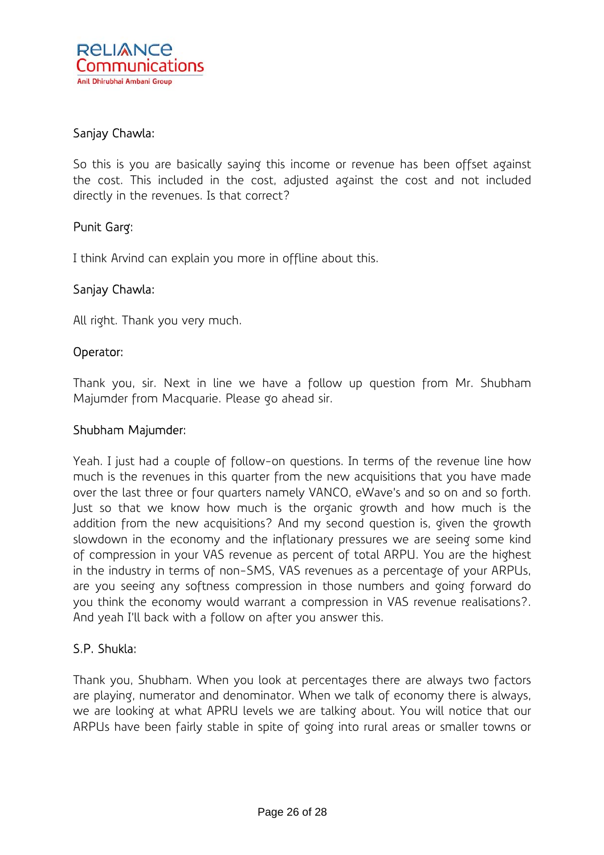

## Sanjay Chawla:

So this is you are basically saying this income or revenue has been offset against the cost. This included in the cost, adjusted against the cost and not included directly in the revenues. Is that correct?

## Punit Garg:

I think Arvind can explain you more in offline about this.

### Sanjay Chawla:

All right. Thank you very much.

#### Operator:

Thank you, sir. Next in line we have a follow up question from Mr. Shubham Majumder from Macquarie. Please go ahead sir.

#### Shubham Majumder:

Yeah. I just had a couple of follow-on questions. In terms of the revenue line how much is the revenues in this quarter from the new acquisitions that you have made over the last three or four quarters namely VANCO, eWave's and so on and so forth. Just so that we know how much is the organic growth and how much is the addition from the new acquisitions? And my second question is, given the growth slowdown in the economy and the inflationary pressures we are seeing some kind of compression in your VAS revenue as percent of total ARPU. You are the highest in the industry in terms of non-SMS, VAS revenues as a percentage of your ARPUs, are you seeing any softness compression in those numbers and going forward do you think the economy would warrant a compression in VAS revenue realisations?. And yeah I'll back with a follow on after you answer this.

## S.P. Shukla:

Thank you, Shubham. When you look at percentages there are always two factors are playing, numerator and denominator. When we talk of economy there is always, we are looking at what APRU levels we are talking about. You will notice that our ARPUs have been fairly stable in spite of going into rural areas or smaller towns or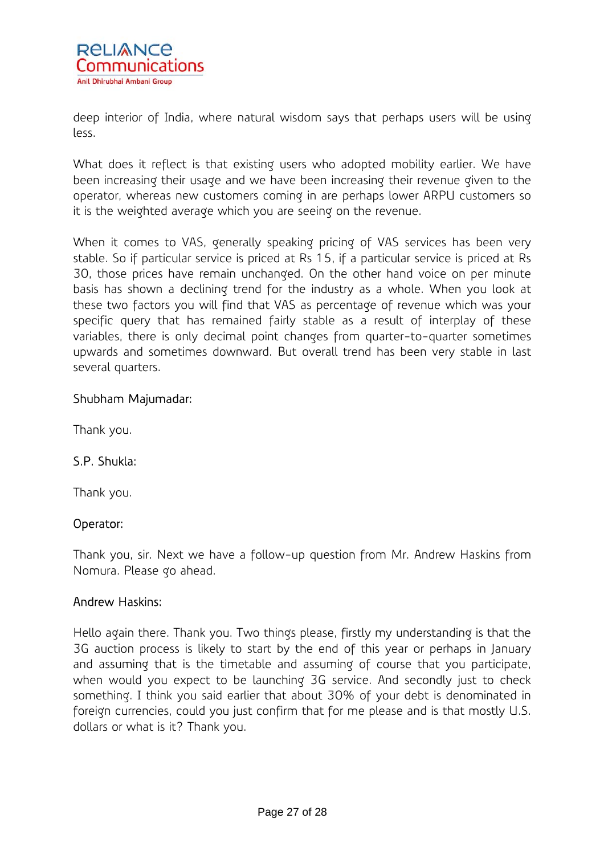

deep interior of India, where natural wisdom says that perhaps users will be using less.

What does it reflect is that existing users who adopted mobility earlier. We have been increasing their usage and we have been increasing their revenue given to the operator, whereas new customers coming in are perhaps lower ARPU customers so it is the weighted average which you are seeing on the revenue.

When it comes to VAS, generally speaking pricing of VAS services has been very stable. So if particular service is priced at Rs 15, if a particular service is priced at Rs 30, those prices have remain unchanged. On the other hand voice on per minute basis has shown a declining trend for the industry as a whole. When you look at these two factors you will find that VAS as percentage of revenue which was your specific query that has remained fairly stable as a result of interplay of these variables, there is only decimal point changes from quarter-to-quarter sometimes upwards and sometimes downward. But overall trend has been very stable in last several quarters.

## Shubham Majumadar:

Thank you.

## S.P. Shukla:

Thank you.

## Operator:

Thank you, sir. Next we have a follow-up question from Mr. Andrew Haskins from Nomura. Please go ahead.

#### Andrew Haskins:

Hello again there. Thank you. Two things please, firstly my understanding is that the 3G auction process is likely to start by the end of this year or perhaps in January and assuming that is the timetable and assuming of course that you participate, when would you expect to be launching 3G service. And secondly just to check something. I think you said earlier that about 30% of your debt is denominated in foreign currencies, could you just confirm that for me please and is that mostly U.S. dollars or what is it? Thank you.